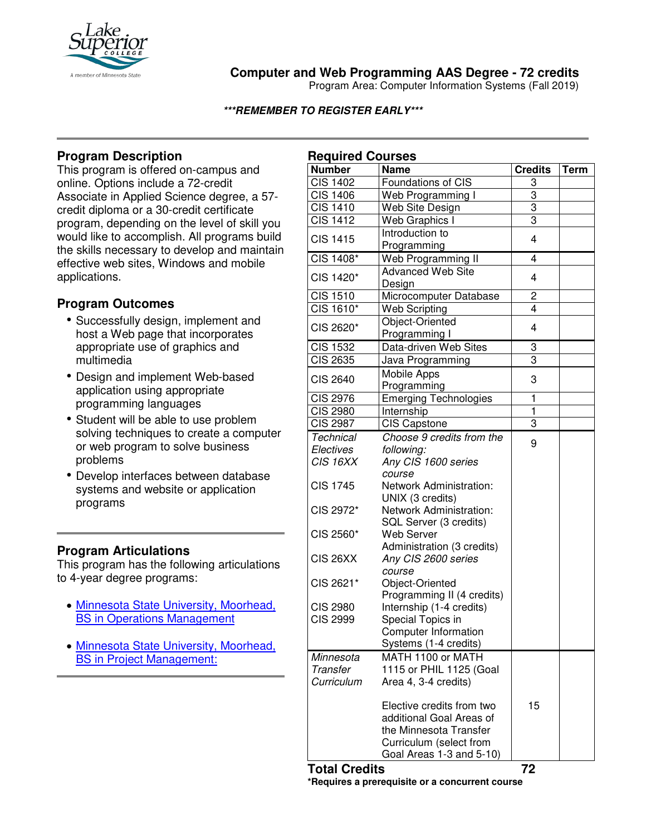

# **Computer and Web Programming AAS Degree - 72 credits**

Program Area: Computer Information Systems (Fall 2019)

#### **\*\*\*REMEMBER TO REGISTER EARLY\*\*\***

## **Program Description**

This program is offered on-campus and online. Options include a 72-credit Associate in Applied Science degree, a 57 credit diploma or a 30-credit certificate program, depending on the level of skill you would like to accomplish. All programs build the skills necessary to develop and maintain effective web sites, Windows and mobile applications.

## **Program Outcomes**

- Successfully design, implement and host a Web page that incorporates appropriate use of graphics and multimedia
- Design and implement Web-based application using appropriate programming languages
- Student will be able to use problem solving techniques to create a computer or web program to solve business problems
- Develop interfaces between database systems and website or application programs

## **Program Articulations**

This program has the following articulations to 4-year degree programs:

- [Minnesota State University, Moorhead,](http://www.mntransfer.org/download.php?id=4885)  [BS in Operations Management](http://www.mntransfer.org/download.php?id=4885)
- Minnesota State [University, Moorhead,](http://www.mntransfer.org/download.php?id=5380)  [BS in Project Management:](http://www.mntransfer.org/download.php?id=5380)

| <b>Required Courses</b> |                              |                         |             |
|-------------------------|------------------------------|-------------------------|-------------|
| <b>Number</b>           | <b>Name</b>                  | <b>Credits</b>          | <b>Term</b> |
| <b>CIS 1402</b>         | Foundations of CIS           | 3                       |             |
| <b>CIS 1406</b>         | Web Programming I            | 3                       |             |
| <b>CIS 1410</b>         | Web Site Design              | 3                       |             |
| <b>CIS 1412</b>         | Web Graphics I               | 3                       |             |
| <b>CIS 1415</b>         | Introduction to              | 4                       |             |
|                         | Programming                  |                         |             |
| CIS 1408*               | Web Programming II           | $\overline{4}$          |             |
| CIS 1420*               | <b>Advanced Web Site</b>     | 4                       |             |
|                         | Design                       |                         |             |
| <b>CIS 1510</b>         | Microcomputer Database       | 2                       |             |
| CIS 1610*               | <b>Web Scripting</b>         | 4                       |             |
| CIS 2620*               | Object-Oriented              | 4                       |             |
|                         | Programming I                |                         |             |
| <b>CIS 1532</b>         | Data-driven Web Sites        | 3                       |             |
| <b>CIS 2635</b>         | Java Programming             | $\overline{3}$          |             |
| <b>CIS 2640</b>         | Mobile Apps                  |                         |             |
|                         | Programming                  | 3                       |             |
| <b>CIS 2976</b>         | <b>Emerging Technologies</b> | $\overline{\mathbf{1}}$ |             |
| <b>CIS 2980</b>         | Internship                   | $\overline{\mathbf{1}}$ |             |
| <b>CIS 2987</b>         | <b>CIS Capstone</b>          | $\overline{3}$          |             |
| <b>Technical</b>        | Choose 9 credits from the    |                         |             |
| Electives               | following:                   | 9                       |             |
| CIS 16XX                | Any CIS 1600 series          |                         |             |
|                         | course                       |                         |             |
| <b>CIS 1745</b>         | Network Administration:      |                         |             |
|                         | UNIX (3 credits)             |                         |             |
| CIS 2972*               | Network Administration:      |                         |             |
|                         | SQL Server (3 credits)       |                         |             |
| CIS 2560*               | <b>Web Server</b>            |                         |             |
|                         | Administration (3 credits)   |                         |             |
| CIS 26XX                | Any CIS 2600 series          |                         |             |
|                         | course                       |                         |             |
| CIS 2621*               | Object-Oriented              |                         |             |
|                         | Programming II (4 credits)   |                         |             |
| <b>CIS 2980</b>         | Internship (1-4 credits)     |                         |             |
| <b>CIS 2999</b>         | Special Topics in            |                         |             |
|                         | Computer Information         |                         |             |
|                         | Systems (1-4 credits)        |                         |             |
| Minnesota               | MATH 1100 or MATH            |                         |             |
| <b>Transfer</b>         | 1115 or PHIL 1125 (Goal      |                         |             |
| Curriculum              | Area 4, 3-4 credits)         |                         |             |
|                         | Elective credits from two    | 15                      |             |
|                         | additional Goal Areas of     |                         |             |
|                         | the Minnesota Transfer       |                         |             |
|                         | Curriculum (select from      |                         |             |
|                         | Goal Areas 1-3 and 5-10)     |                         |             |
|                         |                              |                         |             |